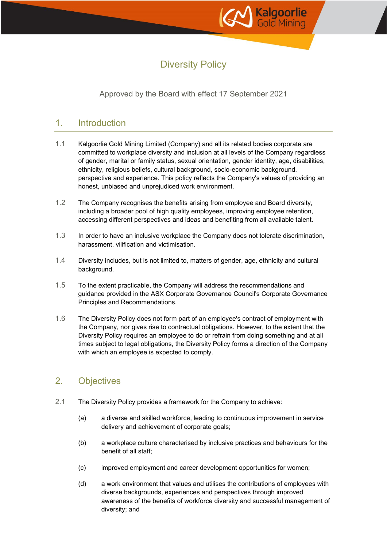

# Diversity Policy

Approved by the Board with effect 17 September 2021

## 1. Introduction

- 1.1 Kalgoorlie Gold Mining Limited (Company) and all its related bodies corporate are committed to workplace diversity and inclusion at all levels of the Company regardless of gender, marital or family status, sexual orientation, gender identity, age, disabilities, ethnicity, religious beliefs, cultural background, socio-economic background, perspective and experience. This policy reflects the Company's values of providing an honest, unbiased and unprejudiced work environment.
- 1.2 The Company recognises the benefits arising from employee and Board diversity, including a broader pool of high quality employees, improving employee retention, accessing different perspectives and ideas and benefiting from all available talent.
- 1.3 In order to have an inclusive workplace the Company does not tolerate discrimination, harassment, vilification and victimisation.
- 1.4 Diversity includes, but is not limited to, matters of gender, age, ethnicity and cultural background.
- 1.5 To the extent practicable, the Company will address the recommendations and guidance provided in the ASX Corporate Governance Council's Corporate Governance Principles and Recommendations.
- 1.6 The Diversity Policy does not form part of an employee's contract of employment with the Company, nor gives rise to contractual obligations. However, to the extent that the Diversity Policy requires an employee to do or refrain from doing something and at all times subject to legal obligations, the Diversity Policy forms a direction of the Company with which an employee is expected to comply.

# 2. Objectives

- 2.1 The Diversity Policy provides a framework for the Company to achieve:
	- (a) a diverse and skilled workforce, leading to continuous improvement in service delivery and achievement of corporate goals;
	- (b) a workplace culture characterised by inclusive practices and behaviours for the benefit of all staff;
	- (c) improved employment and career development opportunities for women;
	- (d) a work environment that values and utilises the contributions of employees with diverse backgrounds, experiences and perspectives through improved awareness of the benefits of workforce diversity and successful management of diversity; and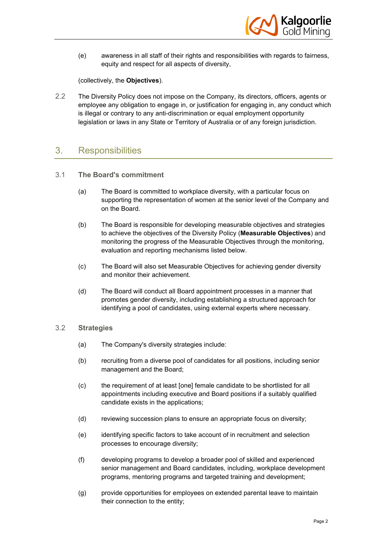

(e) awareness in all staff of their rights and responsibilities with regards to fairness, equity and respect for all aspects of diversity,

(collectively, the **Objectives**).

2.2 The Diversity Policy does not impose on the Company, its directors, officers, agents or employee any obligation to engage in, or justification for engaging in, any conduct which is illegal or contrary to any anti-discrimination or equal employment opportunity legislation or laws in any State or Territory of Australia or of any foreign jurisdiction.

### 3. Responsibilities

- 3.1 **The Board's commitment**
	- (a) The Board is committed to workplace diversity, with a particular focus on supporting the representation of women at the senior level of the Company and on the Board.
	- (b) The Board is responsible for developing measurable objectives and strategies to achieve the objectives of the Diversity Policy (**Measurable Objectives**) and monitoring the progress of the Measurable Objectives through the monitoring, evaluation and reporting mechanisms listed below.
	- (c) The Board will also set Measurable Objectives for achieving gender diversity and monitor their achievement.
	- (d) The Board will conduct all Board appointment processes in a manner that promotes gender diversity, including establishing a structured approach for identifying a pool of candidates, using external experts where necessary.

#### 3.2 **Strategies**

- (a) The Company's diversity strategies include:
- (b) recruiting from a diverse pool of candidates for all positions, including senior management and the Board;
- (c) the requirement of at least [one] female candidate to be shortlisted for all appointments including executive and Board positions if a suitably qualified candidate exists in the applications;
- (d) reviewing succession plans to ensure an appropriate focus on diversity;
- (e) identifying specific factors to take account of in recruitment and selection processes to encourage diversity;
- (f) developing programs to develop a broader pool of skilled and experienced senior management and Board candidates, including, workplace development programs, mentoring programs and targeted training and development;
- (g) provide opportunities for employees on extended parental leave to maintain their connection to the entity;